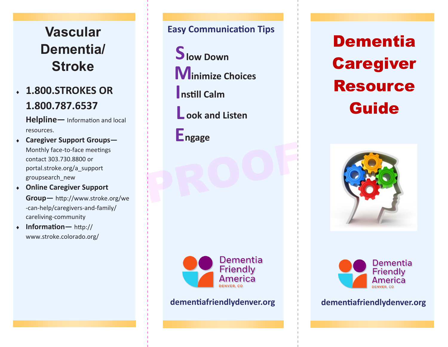## **Vascular Vascular Vascular Dementia/ Dementia/ Dementia/ Stroke Stroke Stroke**

### **1.800.STROKES OR 1.800.STROKES OR 1.800.STROKES OR 1.800.787.6537 1.800.787.6537 1.800.787.6537**

**Helpline—** Information and local **Helpline—** Information and local **Helpline—** Information and local resources. resources. resources.

- **Caregiver Support Groups— Caregiver Support Groups— Caregiver Support Groups—** Monthly face-to-face meetings<br>contact 303.730.8800 or contact 303.730.8800 or contact 303.730.8800 or portal.stroke.org/a\_support portal.stroke.org/a\_support portal.stroke.org/a\_support groupsearch\_new groupsearch\_new groupsearch\_new
- **Online Caregiver Support Online Caregiver Support Online Caregiver Support Group—** http://www.stroke.org/we **Group—** http://www.stroke.org/we **Group—** http://www.stroke.org/we -can-help/caregivers-and-family/ -can-help/caregivers-and-family/ -can-help/caregivers-and-family/ careliving-community careliving-community careliving-community
- **Information—** http:// **Information—** http:// **Information—** http:// www.stroke.colorado.org/ www.stroke.colorado.org/ www.stroke.colorado.org/

#### **Easy Communication Tips Easy Communication Tips Easy Communication Tips**

**S low Down S low Down S low Down Minimize Choices Minimize Choices Minimize Choices**

**I nstill Calm I nstill Calm I nstill Calm** 

**L ook and Listen L ook and Listen L ook and Listen**

**ngage E ngage E ngage E** PROOF

> **Dementia** Friendly America

Dementia Dementia Dementia Caregiver Caregiver Caregiver Resource Resource Resource Guide Guide Guide





**dementiafriendlydenver.org dementiafriendlydenver.org dementiafriendlydenver.org dementiafriendlydenver.org dementiafriendlydenver.org dementiafriendlydenver.org**